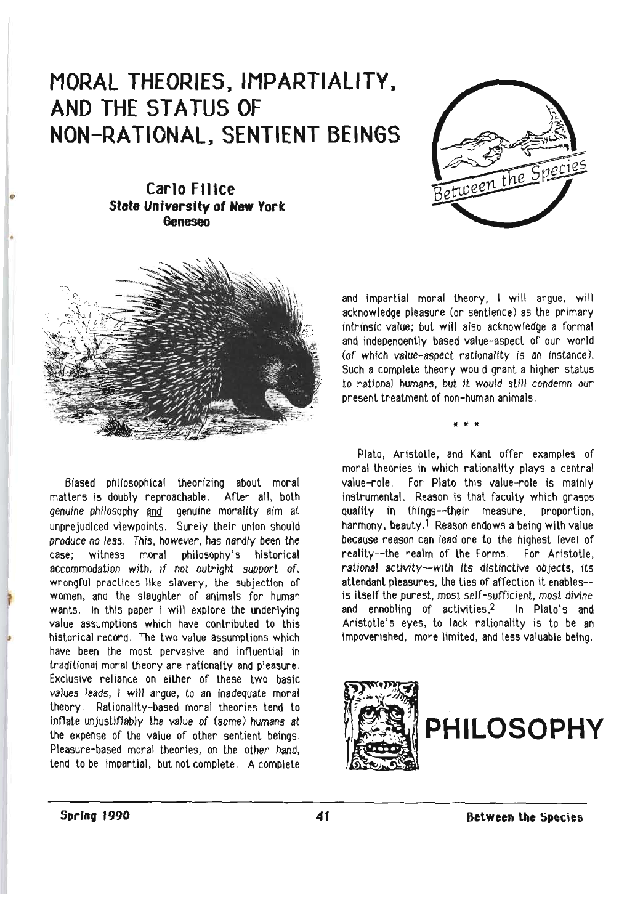## **MORAL THEORIES J IMPARTIALITY <sup>J</sup> AND THE STATUS OF NON-RATIONAL, SENTIENT BEINGS**



**Carlo F1J 1ce State University of New York Geneseo** 



Biased philosophical theorizing about moral matters is doubly reproachable. After all. both genuine philosophy and genuine morality aim at unprejudiced viewpoints. Surely their union should produce no less. This. however. has hardly been the case; witness moral philosophy's historical accommodation with, if not outright support of. wrongful practices like slavery, lhe subjection of women, and the slaughter of animals for human wants. In this paper I will explore the underlying value assumptions which have contributed to this hislorical record, The two value assumptions which have been the most pervasive and influential in traditional moral theory are rationalty and pleasure. Exclusive reliance on either of these two basic values leads, I will argue, to an inadequate moral theory. Rationality-based moral theories tend to inflate unjustifiably the value of (some) humans at the expense of the value of other sentient beings. Pleasure-based moral theories, on the other hand, tend to be impartial, but not complete. A complete

and impartial moral theory, I will argue, will acknowledge pleasure (or sentience) as the primary intrinsic value; but will also acknowledge a formal and independently based value-aspect of our world (of which value-aspect rationality is an instance), Such a complete theory would grant a higher status to rational humans, but it would still condemn our present treatment of non-human animals.

• • •

Plato. Aristotle, and Kanl offer examples of moral theories in which rationality plays a central value-role. For Plato this value-role is mainly instrumental. Reason is that faculty which grasps quality in things--their measure, proportion, harmony, beauty.<sup>1</sup> Reason endows a being with value because reason can lead one to the highest level of reality--the realm of the Forms, For Aristotle. rational activity--with its distinctive objects. its attendant pleasures. the ties of affection it enables- is itself the purest, most self-sufficient, most divine and ennobling of activities.2 In Plato's and Aristotle's eyes. to lack rationality is to be an impoverished, more limited. and less valuable being.

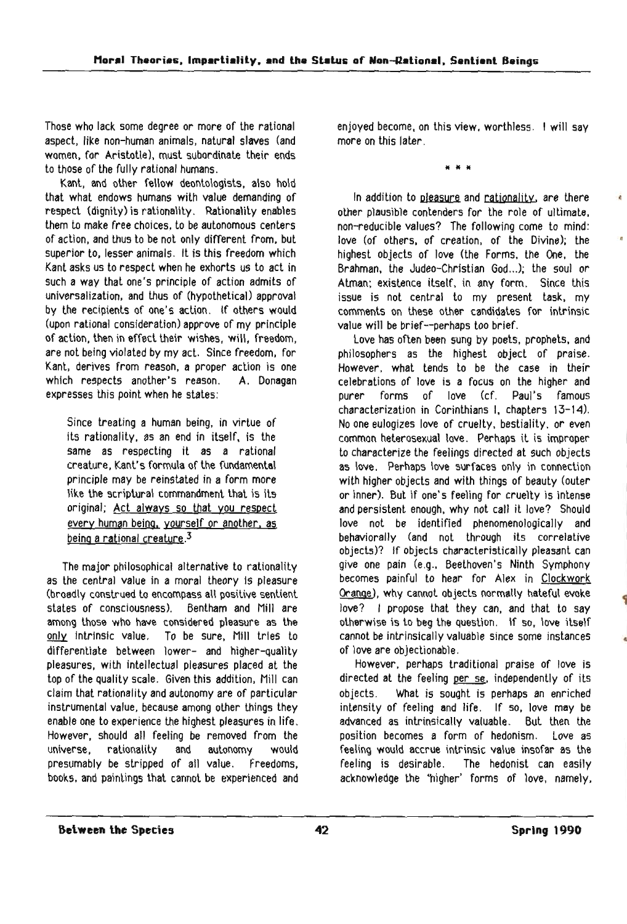Those who lack some degree or more of the rational aspect, like non-human animals, natural slaves (and women, for Aristotle), must subordinate their ends to those of the fully rational humans.

Kant, and other fellow deontologists. also hold that what endows humans with value demanding of respect (dignity) is rationality. Rationality enables them to make free choices, to be autonomous centers of action. and thus to be not only different from. but superior to, lesser animals. It is this freedom which Kant asks us to respect when he exhorts us to act in such a way that one's principle of action admits of universalization, and thus of (hypothetical) approval by the recipients of one's action. If others would (upon rational consideration) approve of my principle of action. then in effect their wishes, will. freedom, are not being violated by my act. Since freedom, for Kant, derives from reason, a proper action is one which respects another's reason. A. Donagan expresses this point when he states:

Since treating a human being. in virtue of its rationality, as an end in itself, is the same as respecting it as a rational creature, Kant's formula of the fundamental principle may be reinstated in a form more like the scriptural commandment that is its original; Act always so that you respect every human being, yourself or another, as being a rational creature. $3$ 

The major philosophical alternative to rationality as the central value in a moral theory is pleasure (broadly construed to encompass all positive sentient states of consciousness). Bentham and Mill are among those who have considered pleasure as the only intrinsic value. To be sure, Mill tries to differentiate between lower- and higher-quality pleasures, with intellectual pleasures placed at the top of the quality scale. Given this addition, Mill can claim that rationality and autonomy are of particular instrumental value. because among other things they enable one to experience the highest pleasures in life. However, should all feeling be removed from the universe. rationality and autonomy would presumably be stripped of all value. Freedoms, books, and paintings that cannot be experienced and

enjoyed become, on this view, worthless. I will say more on this later.

If If If

In addition to pleasure and rationality, are there other plausible contenders for the role of ultimate, non-reducible values? The following come to mind: love (of others, of creation, of the Divine); the highest objects of love (the Forms, the One, the Brahman, the Judeo-Christian God...); the soul or Alman; existence itself, in any form. Since this issue is not central to my present task. my comments on these other candidates for intrinsic value will be brief--perhaps too brief.

love has often been sung by poets, prophets. and philosophers as the highest object of praise. However. what tends to be the case in their celebrations of love is a focus on the higher and purer forms of love (cf. Paul's famous characterization in Corinthians I, chapters 13-14). No one eulogizes love of cruelly, bestiality. or even common heterosexual love. Perhaps it is improper to characterize the feelings directed at such objects as love. Perhaps love surfaces only in connection with higher objects and with things of beauty (outer or inner). But if one's feeling for cruelty is intense and persistent enough, why not call it love? Should love not be identified phenomenologically and behaviorally (and not through its correlative objects)? If objects characteristically pleasant can give one pain (e.g., Beethoven's Ninth Symphony becomes painful to hear for Alex in Clockwork Orange), why cannot objects normally hateful evoke love? I propose that they can, and that to say otherwise is to beg the question. If so, love itself cannot be intrinsically valuable since some instances of love are objectionable.

However, perhaps traditional praise of love is directed at the feeling per se, independently of its objects. What is sought is perhaps an enriched intensity of feeling and life. If so, love may be advanced as intrinsically valuable. But then the position becomes a form of hedonism. love as feeling would accrue intrinsic value insofar as the feeling is desirable. The hedonist can easily acknowledge the 'higher' forms of love, namely,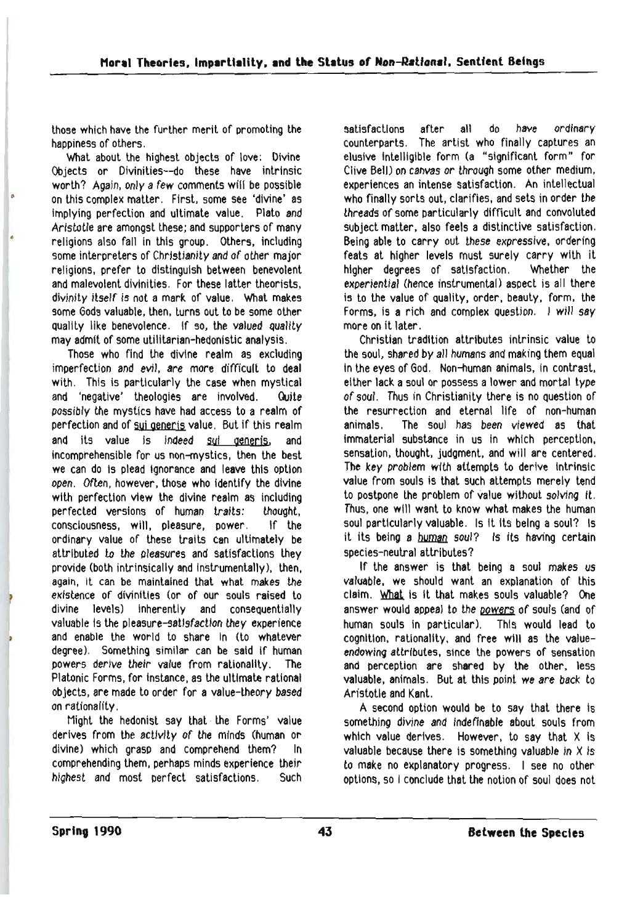those which have the further merit of promoting the happiness of others.

What about the highest objects of love: Divine Objects or Divinities--do these have intrinsic worth? Again. only a few comments will be possible on this complex matter. First, some see 'divine' as Implying perfection and ultimate value. Plato and Aristotle are amongst these; and supporters of many religions also fall in this group. Others, including some interpreters of Christianity and of other major religions, prefer to distinguish between benevolent and malevolent divinities, For these latter theorists, divinity itself is not a mark of value, What makes some Gods valuable, then, turns out to be some other quality like benevolence. If so, the valued quality may admit of some utilitarian-hedonistic analysis.

Those who find the divine realm as excluding imperfection and evil. are more difficult to deal with. This is particularly the case when mystical and 'negative' theologies are involved. Quite possibly the mystics have had access to a realm of perfection and of sui generjs value. But if this realm and its value is indeed sui generis, and incomprehensible for us non-mystics, then the best we can do is plead ignorance and leave this option open. Often. however, those who Identify the divine with perfection view the divine realm as including perfected versions of human traits: thought, consciousness. will. pleasure, power, If the ordinary value of these traits can ultimately be attributed to the pleasures and satisfactions they provide (both intrinsically and instrumentally), then. again, It can be maintained that what makes the existence of divinities (or of our souls raised to divine levels) inherently and consequentially valuable Is the pleasure-satlsfactlon they experience and enable the world to share In (to whatever degree), Something similar can be said If human powers derive their value from rationality. The Platonic Forms, for instance, as the ultimate rational objects. are made to order for a value-theory based on ratlonaltty.

Might the hedonist say that· the Forms' value derives from the activity of the minds (human or divine) which grasp and comprehend them? In comprehending them, perhaps minds experience their highest and most perfect satisfactions. Such

satisfactions after all do have ordinary counterparts. The artist who finally captures an elusive intelligible form (a "significant form" for Clive Bell) on canvas or through some other medium, experiences an intense satisfaction. An intellectual who finally sorts out, clarifies, and sets in order the threads of some particularly difficult and convoluted subject matter, also feels a distinctive satisfaction, Being able to carry out these expressive, ordering feats at higher levels must surely carry with it higher degrees of satisfaction. Whether the experiential (hence instrumental) aspect is all there is to the value of Quality, order, beauty, form, the Forms, is a rich and complex Question. I will say more on it later.

Christian tradition attributes intrinsic value to the soul, shared by all humans and making them equal in the eyes of God. Non-human animals, in contrast, either lack a soul or possess a lower and morlal type of soul. Thus in Christianity there is no Question of the resurrection and eternal life of non-human animals. The soul has been viewed as that immaterial substance in us in which perception. sensation, thought, judgment. and will are centered. The key problem with attempts to derive intrinsic value from souls is that such attempts merely tend to postpone the problem of Value without solving It. Thus, one will want to know what makes the human soul particularly valuable. Is It Its being a soul? Is it its being a human soul? Is its having certain species-neutral attributes?

If the answer is that being a soul makes us valuable. we should want an explanation of this claim. What is it that makes souls valuable? One answer would appeal to the powers of souls (and of human souls in particular). This would lead to cognition, rationality. and free will as the valueendowing attributes. since the powers of sensation and perception are shared by the other, less valuable, animals. But at this point we are back to Aristotle and Kant.

A second option would be to say that there is something divine and indefinable about souls from which value derives. However, to say that  $X$  is valuable because there is something valuable in X is to make no explanatory progress. I see no other options. so I conclude that the notion of soul does not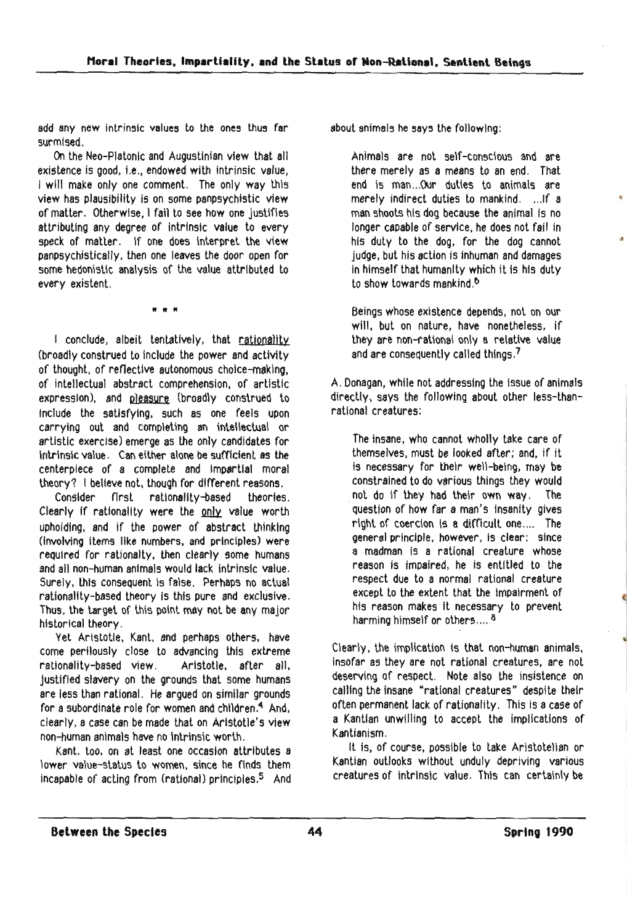add any new intrinsic values to the ones thus far surmised.

On the Neo-Platonlc and Augustinian view that all existence is good, i.e., endowed with intrinsic value, I will make only one comment. The only way this view has plausibility is on some panpsychlstic view of matter. otherwise, I fail to see how one justifies attributing any degree of intrinsic value to every speck of matter. If one does interpret the view panpsychistically. then one leaves the door open for some hedonistic analysis of the value attrIbuted to every existent.

If If It

I conclude, albeit tentatively. that rationality (broadly construed to include the power and activity of thought. of refiectlve autonomous cholce-maklng. of intellectual abstract comprehension. of artistic expression), and pleasure (broadly construed to Include the satisfying. such as one feels upon carrying out and completing an intellectual or artistic exercise) emerge as the only candidates for intrinsic value. Can either alone be sufficient as the centerpiece of a complete and Impartial moral theory? I believe not, though for dIfferent reasons.

Consider first ratlonallty-based theories. Clearly if rationality were the only value worth upholding, and if the power of abstract thinking (Involving items like numbers. and principles) were required for rationalty, then clearly some humans and all non-human animals would lack intrinsic value. Surely, this consequent is false. Perhaps no actual rationality-based theory is this pure and exclusive. Thus, the target or this point may not be any major historical theory.

Yet Aristotle, Kant. and perhaps others. have come perilously close to advancing this extreme rationality-based view. Aristotle. after all. justified slavery on the grounds that some humans are less than rational. He argued on similar grounds for a subordinate role for women and children.<sup>4</sup> And. clearly, a case can be made that on Aristotle's view non-human animals have no Intrinsic worth.

Kant, too, on at least one occasion attributes a lower value-status to women. since he finds them incapable of acting from (rational) principles.<sup>5</sup> And about animals he says the following:

Animals are not self-conscious and are there merely as a means to an end. That end is man...Our duties to animals are merely indirect duties to mankind. ...If a man shoots his dog because the animal is no longer capable of service, he does not fail in his duty to the dog. for the dog cannot judge. but his action is inhuman and damages in himself that humanity which it is his duty to show towards mankind.<sup>6</sup>

•

•

Beings whose existence depends, not on our will, but on nature. have nonetheless, if they are non-ratlonal only a relative value and are consequently called things.<sup>7</sup>

A. Donagan. while not addressing the issue or animals directly, says the following about other less-thanrational creatures:

The insane. who cannot wholly take care of themselves. must be looked after; and. if it Is necessary for their well-being. may be constrained to do various things they would .not do If they had their own way. The question of how far a man's insanity gives right of coercion is a difficult one.... The general principle. however. is clear: since a madman is a rational creature whose reason is impaired, he is entitled to the respect due to a normal rational creature except to the extent that the Impairment of his reason makes it necessary to prevent harming himself or others....<sup>8</sup>

Clearly, the implication is that non-human animals. Insofar as they are not rational creatures. are not deserving of respect. Note also the insistence on calling the insane "rational creatures" despite their often permanent lack of rationality. This is a case of a Kantian unwilling to accept the implications of Kantianism.

It is. of course. possible to take Aristotelian or Kantian outlooks without unduly depriving various creatures of intrinsic value. This can certainly be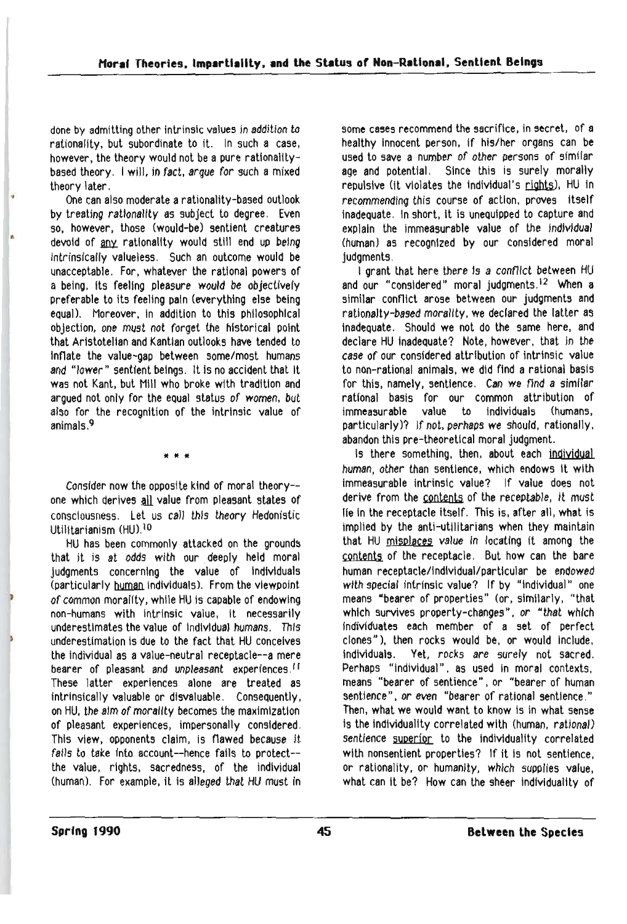done by admitting other intrinsic values in addition to rationality, but subordinate to it. In such a case, however. the theory would not be a pure ratlonalltybased theory. I will, in fact, argue for such a mixed theory later . • One can also moderate arationality-based outlook

by treating rationality as subject to degree. Even so, however, those (would-be) sentient creatures devoid of any rationality would still end up being intrinsically valueless. Such an outcome would be unacceptable. For. whatever the rational powers of a being, its feeling pleasure would be objectively preferable to its feeling pain (everything else being equal). Moreover, in addition to this philosophical objection. one must not forget the historical point that Aristotelian and Kantlan outlooks have tended to Inflate the value-gap between some/most humans and "lower" sentient beings. It Is no accident that It was not Kant, but Mill who broke with tradition and argued not only for the equal status of women, but also for the recognition of the intrinsic value of animals. 9

• • •

Consider now the opposite kind of moral theory- one which derives all value from pleasant states of consciousness. Let us call this theory Hedonistic Utilitarianism (HU).<sup>10</sup>

HU has been commonly attacked on the grounds that it is at odds with our. deeply held moral judgments concerning the value of Individuals (particularly human individuals). From the viewpoint ) of common morality, while HU is capable of endowing non-humans with Intrinsic value, It necessarily underestlmates the value of Individual humans. This underestlmatlon Is due to the fact that HU conceives the individual as a value-neutral receptacle--a mere bearer of pleasant and unpleasant experiences.<sup>11</sup> These latter experiences alone are treated as intrinsically valuable or disvaluable. Consequently, on HU, the aim of morality becomes the maximization of pleasant experiences, impersonally considered, This view, opponents claim, is flawed because it fails to take into account--hence fails to protect-the value, rights, sacredness, of the individual (human). For example, it is alleged that HU must in some cases recommend the sacrifice, in secret. of a healthy innocent person, If his/her organs can be used to save a number of other persons of similar age and potential. Since this is surely morally repulsive (it violates the individual's rights), HU in recommending this course of action, proves itself inadequate. In short, it is unequipped to capture and explain the immeasurable value of the Individual (human) as recognized by our considered moral judgments.

I grant that here there is a conflict between HU and our "considered" moral judgments.<sup>12</sup> When a similar conflict arose between our judgments and rationalty-based morality, we declared the latter as inadequate. Should we not do the same here, and declare HU inadequate? Note, however, that in the case of our considered attribution of intrinsic value to non-rational animals. we did find a rational basis for this, namely, sentience. Can we find a similar rational basis for our common attribution of immeasurable value to individuals (humans, particularly)? If not. perhaps we should, rationally. abandon this pre-theoretical moral judgment.

Is there something, then, about each individual human. other than sentience, which endows It with immeasurable Intrinsic value? If value does not derive from the contents of the receptable, it must lie in the receptacle itself. This is, after all, what is implied by the anti-utilitarians when they maintain that HU misplaces value in locating it among the contents of the receptacIe. But how can the bare human receptacle/Individual/particular be endowed with special intrinsic value? If by "individual" one means "bearer of properties" (or, similarly, "that which survives property-changes", or "that which Individuates each member of a set of perfect clones"), then rocks would be. or would Include, individuals. Yet, rocks are surely not sacred. Perhaps "individual", as used in moral contexts, means "bearer of sentience" , or "bearer of human sentience", or even "bearer of rational sentience." Then, what we would want to know is in what sense is the individuality correlated with (human, rational) sentience superior to the individuality correlated with nonsentient properties? If it is not sentience, or rationality, or humanity. which supplies value, what can it be? How can the sheer individuality of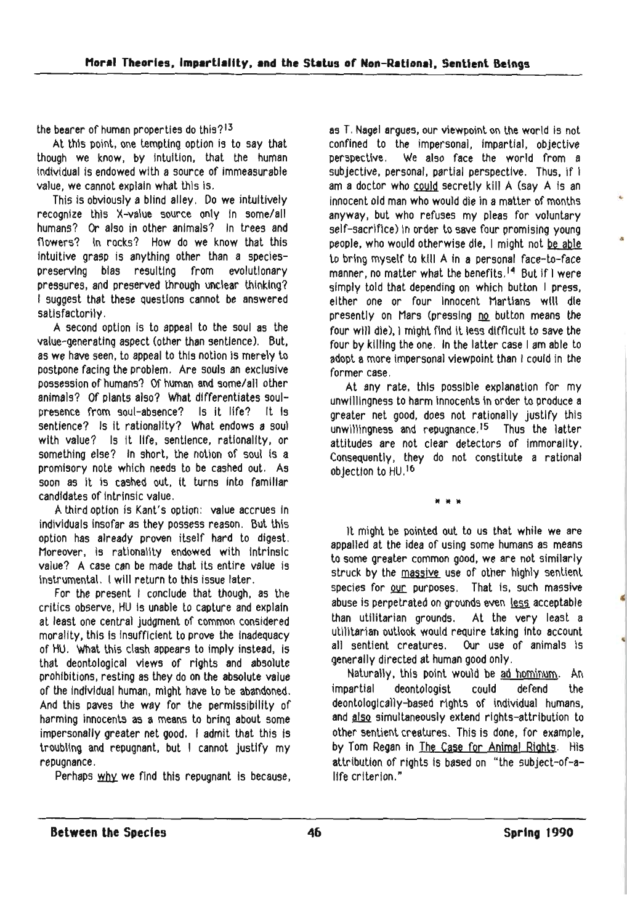the bearer of human properties do this?13

At this point, one tempting option is to say that though we know. by Intuition. that the human Individual is endowed with a source of immeasurable value, we cannot explain what this is.

This is obviously a blind alley. Do we intuitively recognize this X-value source only In some/all humans? Or also in other animals? In trees and flowers? In rocks? How do we know that this intuitive grasp is anything other than a speclespreserving bias resulting from evolutionary pressures, and preserved through unclear thinking? I suggest that these questtons cannot be answered satisfactorily,

A second option is to appeal to the soul as the value-generating aspect (other than sentience). But. as we have seen. to appeal to this notion is merely to postpone facing the problem. Are souls an exclusive possession of humans? Of human and some/all other animals? Of plants also? What differentiates soulpresence from soul-absence? Is it life? It Is sentience? Is it rationality? What endows a soul with value? Is it life, sentience, rationality, or something else? In short, the notion of soul is a promisory note which needs to be cashed out. As soon as it is cashed out, it turns into familiar candidates of intrinsic value.

A third option is Kant's option: value accrues in individuals insofar as they possess reason, But this option has already proven itself hard to digest. Moreover, is rationality endowed with Intrinsic value? A case can be made that its entire value Is Instrumental. I will return to this issue later.

For the present I conclude that though, as the critics observe. HU Is unable to capture and explain at least one central judgment of common considered morality, this is insufficient to prove the inadequacy of HU. What this clash appears to Imply instead. is that deontologlcal views of rights and absolute prohibitions. resting as they do on the absolute value of the IndivIdual human, mIght have to be abandoned. And this paves the way for the permissibility of harming innocents as a means to bring about some impersonally greater net good. I admit that this Is troubling and repugnant, but I cannot justify my repugnance,

Perhaps why we find this repugnant is because.

as T, Nagel argues. our viewpoint on the world is not confined to the impersonal. impartial. objective perspective. We also face the world from a subjective, personal. partial perspective. Thus. if I am a doctor who <u>could</u> secretly kill A (say A is an innocent old man who would die in a matter of months anyway. but who refuses my pleas for voluntary self-sacrifice) in order to save four promising young<br>people, who would otherwise die. I might not be able to bring myself to Kill A in a personal face-to-face manner, no matter what the benefits.<sup>14</sup> But if I were simply told that depending on which button I press, either one or four Innocent Martians will die presently on Mars (pressing no button means the four will die), I might find It less difficult to save the four by killing the one, In the latter case I am able to adopt a more impersonal viewpoint than I could in the former case.

At any rate. this possible explanation for my unwillingness to harm innocents in order to produce a greater net good. does not rationally justify this unwlllfngness and repugnance .15 Thus the latter attitudes are not clear detectors of immorality. Consequently, they do not constitute a rational objection to HU. '6

It It It

It might be pointed out to us that while we are appalled at the idea of using some humans as means to some greater common good, we are not similarly struck by the massive use of other highly sentient species for our purposes. That is, such massive abuse is perpetrated on grounds even less acceptable than utilitarian grounds. At the very least a utilitarian outlook would require taking into account<br>all sentient creatures. Our use of animals is Our use of animals is generally directed at human good only.

Naturally, this point would be ad hominum. An impartial deontologist could defend the deontologlcally-based rights of individual humans, and also simultaneously extend rights-attribution to other sentient creatures. This is done, for example. by Tom Regan in The Case for Animal Rights. His attribution of rights is based on "the subject-of-alife criterion."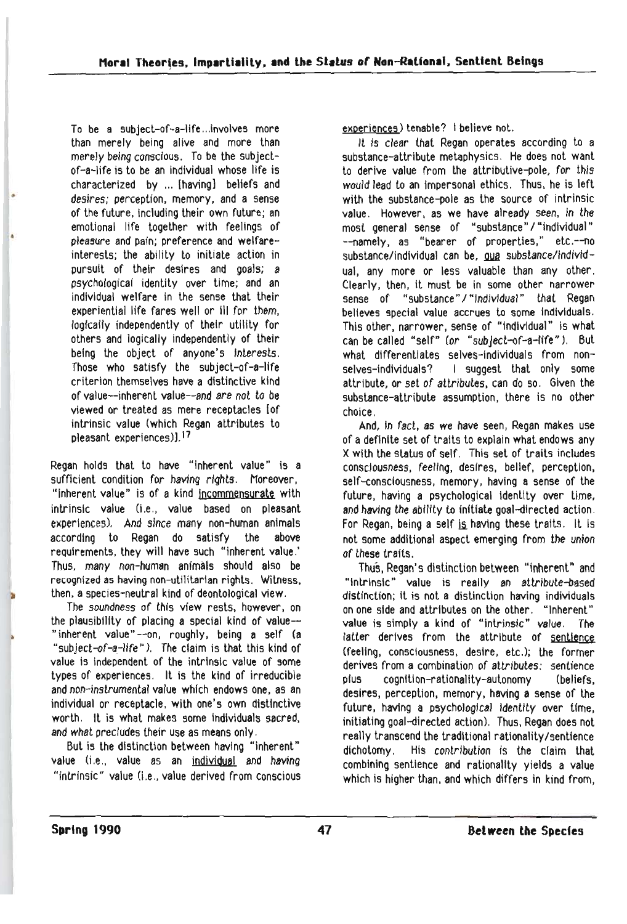To be a subject-of-a-life...involves more than merely being alive and more than merely being conscious. To be the subject of-a-Iife is to be an individual whose life is characterized by ... [having] beliefs and desires; perception, memory. and a sense of the future, including their own future; an emotional life together with feelings of pleasure and pain; preference and welfare interests; the ability to initiate action in pursuit of their desires and goals; a psychological identity over time; and an individual welfare in the sense that their experiential life fares well or ill for them, logically independently of their utility for others and logically independently of their being the object of anyone's Interests, Those who satisfy the subject-of-a-life criterion themselves have a distinctive kind of value--inherent value--and are not to be viewed or treated as mere receptacles fof intrinsic value (which Regan attributes to pleasant experiences)].17

•

Regan holds that to have "inherent value" is a sufficient condition for having rights. Moreover, "inherent value" is of a kind incommensurate with intrinsic value (i.e., value based on pleasant experiences), And since many non-human animals according to Regan do satisfy the above requirements, they will have such "inherent value.' Thus, many non-human animals should also be recognized as having non-utilitarian rights. Witness. then. a species-neutral kind of deontological view.

The soundness of this view rests, however, on the plausibility of placing a special kind of value--"inherent value" --on. roughly, being a self (a "subject-of-a-life"), The claim is that this kind of value is independent of the intrinsic value of some types of experiences. It is the kind of irreducible and non-instrumental value which endows one, as an individual or receptacle, with one's own distinctive worth. It is what makes some individuals sacred, and what precludes their use as means only.

But is the distinction between having "inherent" value (i.e., value as an individual and having "intrinsic" value (i.e., value derived from conscious exoerience5) tenable? I believe not.

It is clear that Regan operates according to a substance-attribute metaphysics, He does not want to derive value from the attributive-pole, for this would lead to an impersonal ethics. Thus. he is left with the substance-pole as the source of intrinsic value. However. as we have already seen, in the most general sense of "substance" / "individual" --namely, as "bearer of properties," etc.--no substance/individual can be. qua substance/individual, any more or less valuable than any other. Clearly. then, It must be in some other narrower sense of "substance" / "Individual" that Regan believes special value accrues to some individuals. This other. narrower, sense of "Individual" is what can be called "self" (or "subject-of-a-life"). But what differentiates selves-individuals from nonselves-individuals? I suggest that only some attribute, or set of attributes. can do so. Given the substance-attribute assumption, there is no other choice,

And. in fact. as we have seen, Regan makes use of a definite set of traits to explain what endows any X with the status of self, This set of traits includes consciousness, feeling, desires. belief, perception. self-consciousness, memory, having a sense of the future, having a psychological identity over time, and having the ability to initiate goal-directed action. For Regan, being a self is having these traits. It is not some additional aspect emerging from the union of these traits.

Thus, Regan's distinction between "inherent" and "Intrinsic" value is really an attribute-based distinction; it is not a distinction having individuals on one side and attributes on the other. "Inherent" value is simply a kind of "Intrinsic" value. The latter derives from the attribute of sentience (feeling. consciousness, desire. etc,); the former derives from a combination of attributes: sentience plus cognition-rationality-autonomy (beliefs, desires. perception. memory. having a sense of the future, having a psychological identity over time, initiating goal-directed action). Thus, Regan does not really transcend the traditional rationality/sentience dichotomy, His contribution is the claim that combining sentience and rationality yields a value which is higher than. and which differs in kind from,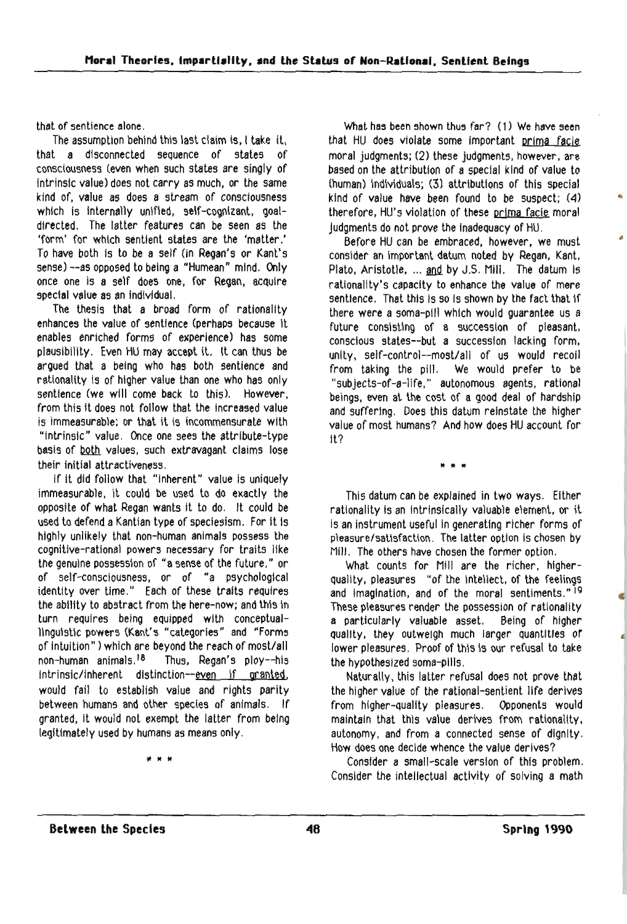that of sentience alone,

The assumption behind this last claim is, I take it, that a disconnected sequence of states of consciousness (even when such states are singly of intrinsic value) does not carry as much, or the same kind of. value as does a stream of consciousness which is internally unified, self-cognizant, goaldirected. The latter features can be seen as the 'form' for which sentient states are the 'matter.' To have both is to be a self (in Regan's or Kant's sense) --as opposed to being a "Humean" mind. Only once one is a self does one, for Regan, acquire spectal value as an individual.

The thesis that a broad form of rationality enhances the value of sentience (perhaps because It enables enriched forms of experience) has some plausibility. Even HU may accept It. It can thus be argued that a being who has both sentience and rationality is of higher value than one who has only sentience (we will come back to this). However. from this it does not follow that the Increased value is immeasurable; or that it is incommensurate with "Intrinsic" value. Once one sees the attribute-type basis of both values, such extravagant claims lose their initial attractiveness.

If it did follow that "inherent" value is uniquely immeasurable, it could be used to do exactly the opposite of what Regan wants it to do. It could be used to defend a Kantian type of speciesism. For it is highly unlikely that non-human animals possess the cognitive-rational powers necessary for traits like the genuine possession of "a sense of the future." or of self-consciousness, or of "a psychological identity over time." Each of these traits requires the ability to abstract from the here-now; and this in turn requires being equipped with conceptuallingUistic powers (Kant's "categories" and "Forms of intuition") which are beyond the reach of most/all non-human animals. 18 Thus, Regan's ploy--hls intrinsic/inherent distinction--even if granted. would fail to establish value and rights parity between humans and other species of animals. If granted, It would not exempt the latter from belng legitimately used by humans as means only.

\* \* \*

What has been shown thus far? (1) We have seen that HU does violate some important prima facie moral judgments; (2) these judgments. however. are based on the attribution of a special kind of value to (human) Individuals; (3) attributions of this special kind of value have been found to be suspect; (4) therefore. HU's violation of these prima facie moral Judgments do not prove the Inadequacy of HU.

•

•

Before HU can be embraced. however, we must consider an important datum noted by Regan, Kant, Plato, Aristotle, ... and by J.S. Mill. The datum is rationallty's capacity to enhance the value of mere sentience. That this is so is shown by the fact that if there were a soma-pill which would quarantee us a future consisting of a succession of pleasant. conscious states--but a succession lacking form. unity, self-control--most/all of us would recoil from taking the pill. We would prefer to be "subjects-of-a-life." autonomous agents. rational beings. even at the cost of a good deal of hardship and suffering, Does this datum reinstate the higher value of most humans? And how does HU account for it?

 $* * *$ 

This datum can be explained in two ways. Either rationality is an intrinsically valuable element, or it is an instrument useful in generating richer forms of pleasure/satisfaction. The latter option is chosen by Mill. The others have chosen the former option.

What counts for Mill are the richer. higherquality, pleasures "of the intellect, of the feelings and imagination, and of the moral sentiments."<sup>19</sup> These pleasures render the possession of rationality a particularly valuable asset. Being of higher Quality. they outweigh much larger quantities or lower pleasures, Proof of this Is our refusal to take the hypothesized soma-pills,

Naturally. this latter refusal does not prove that the higher value of the rational-sentient life derives from higher-Quality pleasures. Opponents would maintain that this value derives from rationality. autonomy. and from a connected sense of dignity. How does one decide whence the value derives?

Consider a small-scale version of this problem, Consider the intellectual activity of solving a math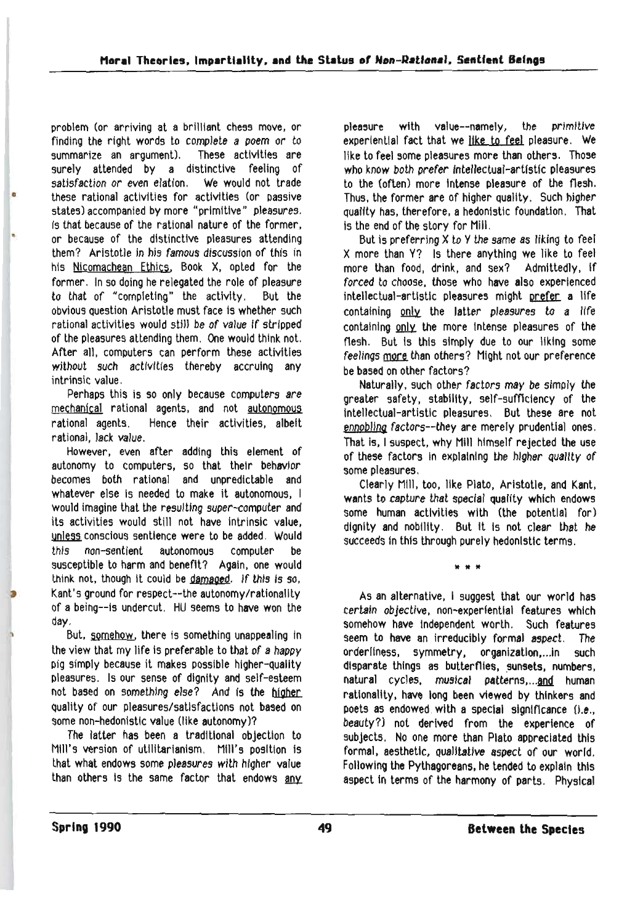problem (or arriving at a brilliant chess move, or finding the right words to complete a poem or to summarize an argument). These activities are surely attended by a distinctive feeling of satisfaction or even elation, We would not trade these rational activities for activities (or passive states) accompanied by more "primitive" pleasures. Is that because of the rational nature of the former, or because of the distinctive pleasures attending them? Aristotle in his famous discussion of this in his Nlcomachean Ethics, Book X, opted for the former, In so doing he relegated the role of pleasure to that of "completing" the activity. But the obvious Question Aristotle must face is whether such rational activities would still be of value if stripped of the pleasures attending them, One would think not. After all, computers can perform these activities without such activities thereby accruing any intrinsic value.

•

Perhaps this is so only because computers are mechanical rational agents, and not autonomous rational agents. Hence their activities, albeit rational, Jack value.

However. even after adding this element of autonomy to computers, so that their behavior becomes both rational and unpredictable and whatever else is needed to make it autonomous, I would imagine that the resulting super-eomputer and its activities would still not have intrinsic value, unless conscious sentience were to be added. Would this non-sentient autonomous computer be susceptible to harm and benefit? Again, one would think not, though it could be damaged. If this is so, Kant's ground for respect--the autonomy/rationality of a being--Is undercut. HU seems to have won the day.

But, somehow, there is something unappealing in the view that my life is preferable to that of a happy pig simply because it makes possible higher-Quality pleasures. Is our sense of dignity and self-esteem not based on something else? And is the Quality of our pleasures/satisfactions not based on some non-hedonistic value (like autonomy)?

The latter has been a traditional objection to Mill's version of utilitarianism. Mill's position is that what endows some pleasures with higher value than others is the same factor that endows any pJea5ure with value--namely, the primitive experiential fact that we like to feel pleasure, We like to feel some pleasures more than others. Those who know both prefer intellectual-artistic pleasures to the (often) more intense pleasure of the flesh. Thus, the former are of higher quality. Such higher quality has, therefore, a hedonistic foundation. That is the end of the story for Mill.

But is preferring X to y the same as liking to feel X more than Y? Is there anything we like to feel more than food, drink, and sex? Admittedly, If forced to choose. those who have also experienced intellectual-artistic pleasures might prefer a life containing only the latter pleasures to a life containing only the more intense pleasures of the flesh. But is this simply due to our liking some feelings more than others? Might not our preference be based on other factors?

Naturally, such other factors may be simply the greater safety, stability, self-sufficiency of the intellectual-artistic pleasures. But these are not ennobling factors--they are merely prudential ones. That is. I suspect, why Mill himself rejected the use of these factors In explaining the higher Quality of some pleasures.

Clearly Nl1l, too, like Plato. Aristotle, and Kant, wants to capture that special quality which endows some human activities with (the potential for) dignity and nobility. But It Is not clear that he succeeds in this through purely hedonistic terms.

It It It

As an alternative, I suggest that our world has certain objective, non-experiential features which somehow have Independent worth. Such features seem to have an irreducibly formal aspect. The orderliness, symmetry. organizatlon,...in such disparate things as butterflies, sunsets, numbers, natural cycles, musical patterns,...and human rationality, have long been viewed by thinkers and poets as endowed with a special significance (i.e., beauty?) not derived from the experience of subjects. No one more than Plato appreciated this formal. aesthetic, Qualitative aspect of our world. Following the Pythagoreans, he tended to explain this aspect In terms of the harmony of parts. Physical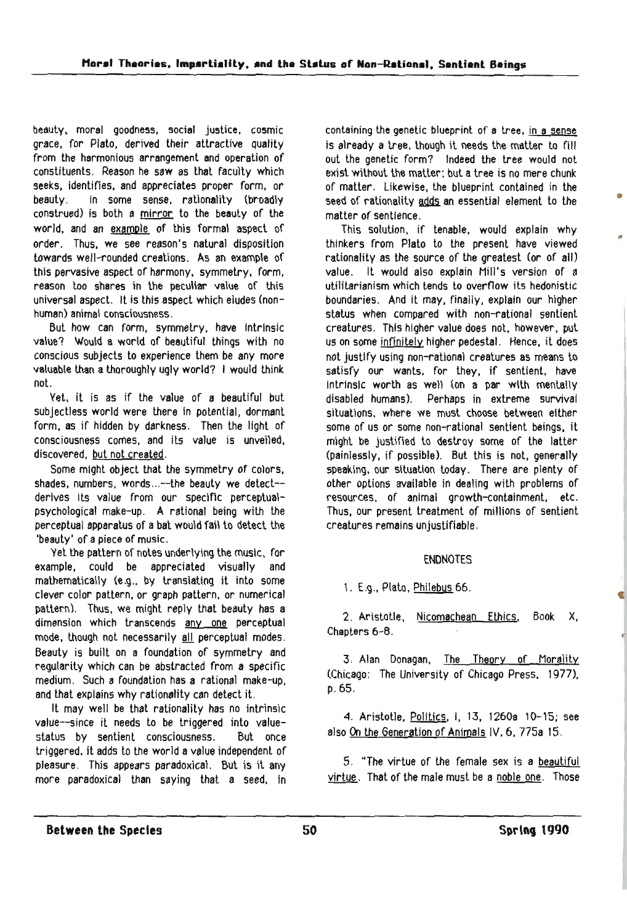beauty. moral goodne5s. social justice. cosmic grace, for Plato, derived their attractive quality from the harmonious arrangement and operation of constituents. Reason he saw as that faculty which seeks, identifies. and appreciates proper form. or beauty. In some sense. rationality (broadly construed) is both a mirror to the beauty of the world. and an example of this formal aspect of order. Thus. we see reason's natural disposition towards well-rounded creations. As an example of this pervasive aspect of harmony. symmetry. form. reason loo shares in the peculiar value of this universal aspect. It is this aspect which eludes (nonhuman) animal consciousness.

But how can form. symmetry. have 1ntrlnsic value? Would a world of beautiful things with no conscious subjects to experience them be any more valuable than a thoroughly ugly world? I would think not.

Yet. it is as if the value of a beautiful but subjectless world were there in potential, dormant form. as if hidden by darkness. Then the light of consciousness comes. and ils value is unveiled. discovered. but not created.

Some might object that the symmetry of colors. shades, numbers, words...--the beauty we detect-derives Its value from our specific perceptualpsychological make-up. A rational being with the perceptual apparatus of a bat would fail to detect the 'beauty' of a piece of music.

Yet the pattern of notes underlying the music, for example. could be appreciated visually and mathematically (e.g., by translating it into some clever color pattern. or graph pattern. or numerical pattern). Thus, we might reply that beauty has a dimension which transcends any one perceptual mode, though not necessarily all perceptual modes. Beauty is built on a foundation of symmetry and regularity which can be abstracted from a specific medium. Such a foundation has a rational make-up, and that explains why rationality can detect it.

It may well be that rationality has no intrinsic value--since it needs to be triggered into valuestatus by sentient consciousness. But once triggered. it adds lo the world a value independent of pleasure. This appears paradoxical. But is it any more paradoxical than saying that a seed, in containing the genetic blueprint of a tree, in a sense is already a tree, though it needs the matter to fill out the genetic form? Indeed the tree would not exist without the matter; but a tree is no mere chunk of matter. Likewise, the blueprint contained in the seed of rationality adds an essential element to the matter of sentience.

This solution, if tenable, would explain why thinkers from Plato to the present have viewed rationality as the source of the greatest (or of all) value. It would also explain Mill's version of a utilitarianism which tends to overflow its hedonistic boundaries. And it may. finally, explain our higher status when compared with non-rational sentient creatures. This higher value does not. however. put us on some infinitely higher pedestal. Hence. it does not justify using non-rational creatures as means to satisfy our wants. for they, if sentient. have Intrinsic worth as well (on a par with mentally disabled humans). Perhaps in extreme survival situations, where we must choose between either some of us or some non-rational sentient beings. it might be justified to destroy some of the latter (painlessly, if possible). But this is not, generally speaking, our situation today. There are plenty of other options available in dealing with problems of resources, of animal growth-containment, etc. Thus. our present treatment of millions of sentient creatures remains unjustifiable.

## ENDNOTES

1. E.g .• Plato. Philebus 66.

2. Aristotle, Nicomachean Ethics. Book X. Chapters 6-8.

3. Alan Donagan, The Theory of Morality (Chicago: The University of Chicago Press. 1977). p.65.

4. Aristotle. Politics. I, 13. 1260a 10-15; see also On the Generation of Animals IV. 6. 775a 15.

5. "The virtue of the female sex is a beautiful virtue. That of the male must be a noble one. Those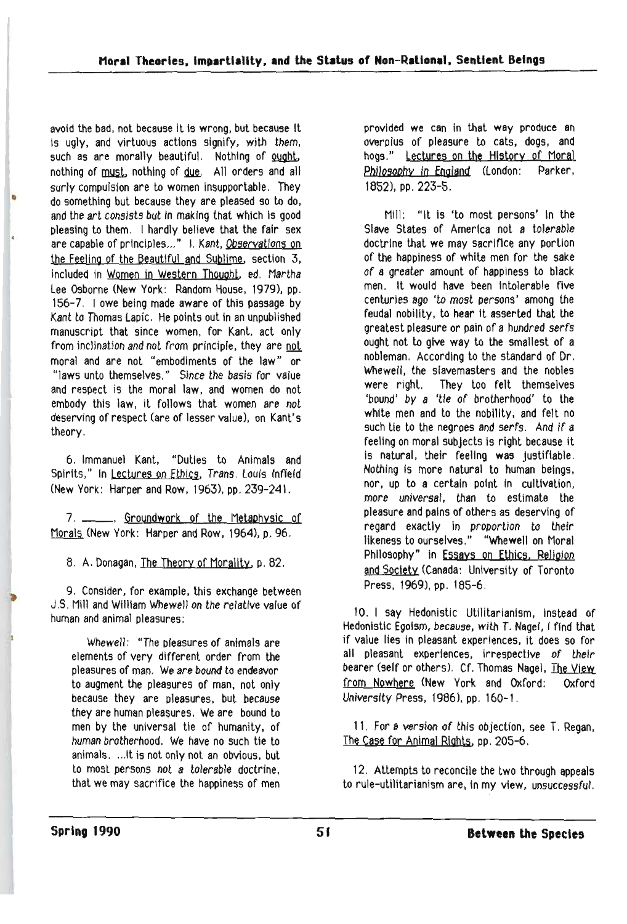avoid the bad, not because it is wrong, but because it Is ugly, and virtuous actions signify, with them, such as are morally beautiful. Nothing of ought, nothing of must, nothing of due. All orders and all surly compulsion are to women insupportable. They • do something but because they are pleased so to do, and the art consists but in making that which is good pleasing to them, I hardly believe that the fair sex are capable of principles..." I. Kant, Observations on the Feeling of the Beautiful and Syblime, section 3, included in Women in Western Thought, ed. Martha Lee Osborne (New York: Random House, 1979). pp. 156-7, lowe being made aware of this passage by Kant to Thomas Lapic, He points out in an unpublished manuscript that since women. for Kant. act only from inclination and not from principle, they are not moral and are not "embodiments of the law" or "laws unto themselves." Since the basis for value and respect is the moral law, and women do not embody this law, it follows that women are not deserving of respect (are of lesser value), on Kant's theory.

6. Immanuel Kant, "Duties to Animals and Spirits," In Lectures on Ethics, Trans, Louis Infield (New York: Harper and Row. 1963), pp. 239-241.

7. \_\_\_\_\_\_, Groundwork of the Metaphysic of Morals (New York: Harper and Row. 1964), p. 96.

8, A. Donagan, The Theory of Morality, p. 82.

9. Consider, for example. this exchange between J ,S, Mill and William Whewell on the relative value of human and animal pleasures:

Whewell: "The pleasures of animals are elements of very different order from the pleasures of man. We are bound to endeavor to augment the pleasures of man, not only because they are pleasures, but because they are human pleasures. We are bound to men by the universal tie of humanity, of human brotherhood. We have no such tie to animals, ... It is not only not an obvious, but to most persons not a tolerable doctrine, that we may sacrifice the happiness of men

provided **we** can in that way produce an overplus of pleasure to cats, dogs, and hogs." Lectures on the History of Moral Philosophy In England (London: Parker, 1852), pp. 223-5.

Mill: "It is 'to most persons' In the Slave States of America not a tolerable doctrine that we may sacrifice any portion of the happiness of white men for the sake of a greater amount of happiness to black men. It would have been Intolerable five centuries ago 'to most persons' among the feudal nobility, to hear it asserted that the greatest pleasure or pain of a hundred serfs ought not to give way to the smallest of a nobleman. According to the standard of Dr. Whewell, the slavemasters and the nobles were right. They too felt themselves 'bound' by a 'tie of brotherhood' to the white men and to the nobility, and felt no such tie to the negroes and serfs. And if a feellng on moral subjects is right because it Is natural, their feellng was Justifiable. Nothing Is more natural to human beings, nor, up to a certain point tn cultivation, more universal, than to estimate the pleasure and pains of others as deserving of regard exactly in proportion to their likeness to ourselves." "Whewell on Moral Philosophy" in Essays on Ethics. Religion and Society (Canada: University of Toronto Press, 1969), pp. 185-6,

10. I say Hedonistic Utilitarianism, instead of Hedonistic Egoism, because, with T. Nagel, I find that if value lies in pleasant experiences, it does so for all pleasant experiences, irrespective of their bearer (self or others), Cf. Thomas Nagel, The View from Nowhere (New York and Oxford: Oxford University Press, 1986), pp, 160-1,

11. For a version of this objection, see T. Regan, The Case for Animal RIghts. pp. 205-6.

12. Attempts to reconcile the two through appeals to rule-utilitarianism are, in my view, unsuccessful.